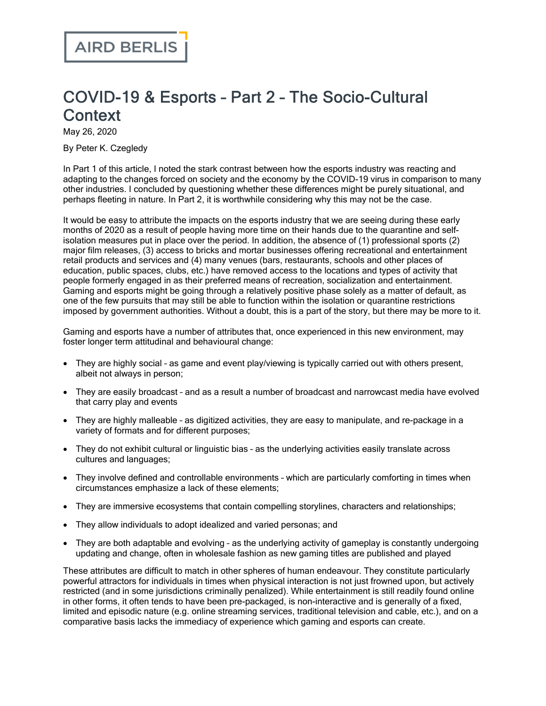## COVID-19 & Esports – Part 2 – The Socio-Cultural **Context**

May 26, 2020

By Peter K. Czegledy

In Part 1 of this [article](https://www.airdberlis.com/insights/publications/publication/covid-19-esports---part-1-the-economic-and-industry-impact), I noted the stark contrast between how the esports industry was reacting and adapting to the changes forced on society and the economy by the COVID-19 virus in comparison to many other industries. I concluded by questioning whether these differences might be purely situational, and perhaps fleeting in nature. In Part 2, it is worthwhile considering why this may not be the case.

It would be easy to attribute the impacts on the esports industry that we are seeing during these early months of 2020 as a result of people having more time on their hands due to the quarantine and selfisolation measures put in place over the period. In addition, the absence of (1) professional sports (2) major film releases, (3) access to bricks and mortar businesses offering recreational and entertainment retail products and services and (4) many venues (bars, restaurants, schools and other places of education, public spaces, clubs, etc.) have removed access to the locations and types of activity that people formerly engaged in as their preferred means of recreation, socialization and entertainment. Gaming and esports might be going through a relatively positive phase solely as a matter of default, as one of the few pursuits that may still be able to function within the isolation or quarantine restrictions imposed by government authorities. Without a doubt, this is a part of the story, but there may be more to it.

Gaming and esports have a number of attributes that, once experienced in this new environment, may foster longer term attitudinal and behavioural change:

- · They are highly social as game and event play/viewing is typically carried out with others present, albeit not always in person;
- · They are easily broadcast and as a result a number of broadcast and narrowcast media have evolved that carry play and events
- · They are highly malleable as digitized activities, they are easy to manipulate, and re-package in a variety of formats and for different purposes;
- · They do not exhibit cultural or linguistic bias as the underlying activities easily translate across cultures and languages;
- · They involve defined and controllable environments which are particularly comforting in times when circumstances emphasize a lack of these elements;
- · They are immersive ecosystems that contain compelling storylines, characters and relationships;
- · They allow individuals to adopt idealized and varied personas; and
- · They are both adaptable and evolving as the underlying activity of gameplay is constantly undergoing updating and change, often in wholesale fashion as new gaming titles are published and played

These attributes are difficult to match in other spheres of human endeavour. They constitute particularly powerful attractors for individuals in times when physical interaction is not just frowned upon, but actively restricted (and in some jurisdictions criminally penalized). While entertainment is still readily found online in other forms, it often tends to have been pre-packaged, is non-interactive and is generally of a fixed, limited and episodic nature (e.g. online streaming services, traditional television and cable, etc.), and on a comparative basis lacks the immediacy of experience which gaming and esports can create.